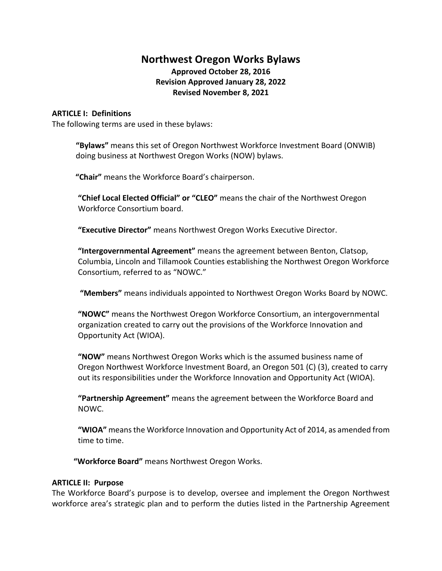# **Northwest Oregon Works Bylaws Approved October 28, 2016 Revision Approved January 28, 2022 Revised November 8, 2021**

# **ARTICLE I: Definitions**

The following terms are used in these bylaws:

**"Bylaws"** means this set of Oregon Northwest Workforce Investment Board (ONWIB) doing business at Northwest Oregon Works (NOW) bylaws.

**"Chair"** means the Workforce Board's chairperson.

**"Chief Local Elected Official" or "CLEO"** means the chair of the Northwest Oregon Workforce Consortium board.

**"Executive Director"** means Northwest Oregon Works Executive Director.

**"Intergovernmental Agreement"** means the agreement between Benton, Clatsop, Columbia, Lincoln and Tillamook Counties establishing the Northwest Oregon Workforce Consortium, referred to as "NOWC."

**"Members"** means individuals appointed to Northwest Oregon Works Board by NOWC.

**"NOWC"** means the Northwest Oregon Workforce Consortium, an intergovernmental organization created to carry out the provisions of the Workforce Innovation and Opportunity Act (WIOA).

**"NOW"** means Northwest Oregon Works which is the assumed business name of Oregon Northwest Workforce Investment Board, an Oregon 501 (C) (3), created to carry out its responsibilities under the Workforce Innovation and Opportunity Act (WIOA).

**"Partnership Agreement"** means the agreement between the Workforce Board and NOWC.

**"WIOA"** means the Workforce Innovation and Opportunity Act of 2014, as amended from time to time.

 **"Workforce Board"** means Northwest Oregon Works.

#### **ARTICLE II: Purpose**

The Workforce Board's purpose is to develop, oversee and implement the Oregon Northwest workforce area's strategic plan and to perform the duties listed in the Partnership Agreement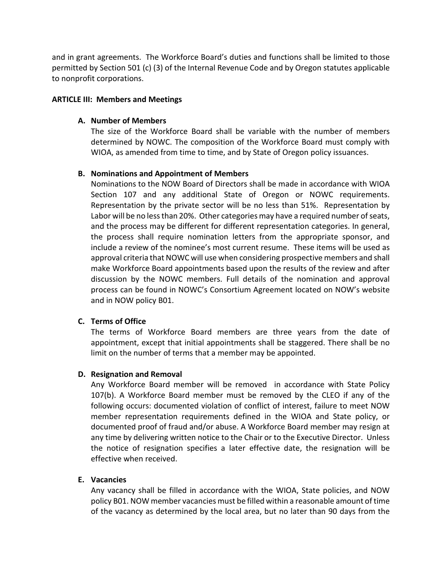and in grant agreements. The Workforce Board's duties and functions shall be limited to those permitted by Section 501 (c) (3) of the Internal Revenue Code and by Oregon statutes applicable to nonprofit corporations.

#### **ARTICLE III: Members and Meetings**

#### **A. Number of Members**

The size of the Workforce Board shall be variable with the number of members determined by NOWC. The composition of the Workforce Board must comply with WIOA, as amended from time to time, and by State of Oregon policy issuances.

#### **B. Nominations and Appointment of Members**

Nominations to the NOW Board of Directors shall be made in accordance with WIOA Section 107 and any additional State of Oregon or NOWC requirements. Representation by the private sector will be no less than 51%. Representation by Labor will be no less than 20%. Other categories may have a required number of seats, and the process may be different for different representation categories. In general, the process shall require nomination letters from the appropriate sponsor, and include a review of the nominee's most current resume. These items will be used as approval criteria that NOWC will use when considering prospective members and shall make Workforce Board appointments based upon the results of the review and after discussion by the NOWC members. Full details of the nomination and approval process can be found in NOWC's Consortium Agreement located on NOW's website and in NOW policy B01.

#### **C. Terms of Office**

The terms of Workforce Board members are three years from the date of appointment, except that initial appointments shall be staggered. There shall be no limit on the number of terms that a member may be appointed.

#### **D. Resignation and Removal**

Any Workforce Board member will be removed in accordance with State Policy 107(b). A Workforce Board member must be removed by the CLEO if any of the following occurs: documented violation of conflict of interest, failure to meet NOW member representation requirements defined in the WIOA and State policy, or documented proof of fraud and/or abuse. A Workforce Board member may resign at any time by delivering written notice to the Chair or to the Executive Director. Unless the notice of resignation specifies a later effective date, the resignation will be effective when received.

#### **E. Vacancies**

Any vacancy shall be filled in accordance with the WIOA, State policies, and NOW policy B01. NOW member vacancies must be filled within a reasonable amount of time of the vacancy as determined by the local area, but no later than 90 days from the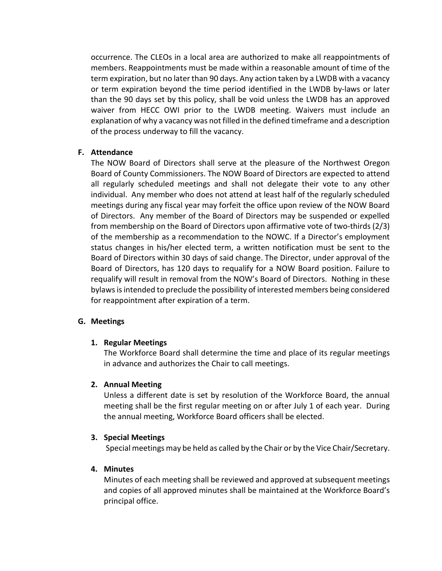occurrence. The CLEOs in a local area are authorized to make all reappointments of members. Reappointments must be made within a reasonable amount of time of the term expiration, but no later than 90 days. Any action taken by a LWDB with a vacancy or term expiration beyond the time period identified in the LWDB by-laws or later than the 90 days set by this policy, shall be void unless the LWDB has an approved waiver from HECC OWI prior to the LWDB meeting. Waivers must include an explanation of why a vacancy was not filled in the defined timeframe and a description of the process underway to fill the vacancy.

#### **F. Attendance**

The NOW Board of Directors shall serve at the pleasure of the Northwest Oregon Board of County Commissioners. The NOW Board of Directors are expected to attend all regularly scheduled meetings and shall not delegate their vote to any other individual. Any member who does not attend at least half of the regularly scheduled meetings during any fiscal year may forfeit the office upon review of the NOW Board of Directors. Any member of the Board of Directors may be suspended or expelled from membership on the Board of Directors upon affirmative vote of two-thirds (2/3) of the membership as a recommendation to the NOWC. If a Director's employment status changes in his/her elected term, a written notification must be sent to the Board of Directors within 30 days of said change. The Director, under approval of the Board of Directors, has 120 days to requalify for a NOW Board position. Failure to requalify will result in removal from the NOW's Board of Directors. Nothing in these bylaws is intended to preclude the possibility of interested members being considered for reappointment after expiration of a term.

#### **G. Meetings**

#### **1. Regular Meetings**

The Workforce Board shall determine the time and place of its regular meetings in advance and authorizes the Chair to call meetings.

#### **2. Annual Meeting**

Unless a different date is set by resolution of the Workforce Board, the annual meeting shall be the first regular meeting on or after July 1 of each year. During the annual meeting, Workforce Board officers shall be elected.

#### **3. Special Meetings**

Special meetings may be held as called by the Chair or by the Vice Chair/Secretary.

#### **4. Minutes**

Minutes of each meeting shall be reviewed and approved at subsequent meetings and copies of all approved minutes shall be maintained at the Workforce Board's principal office.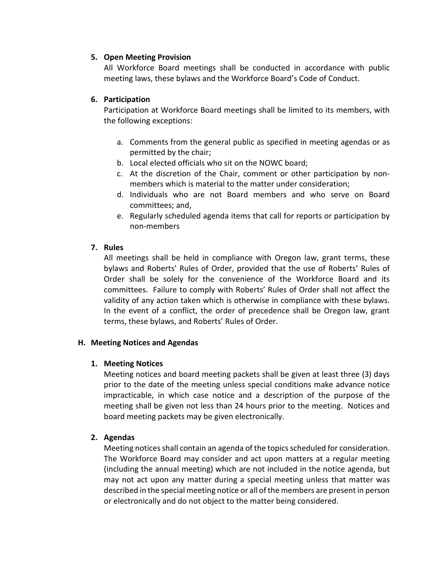# **5. Open Meeting Provision**

All Workforce Board meetings shall be conducted in accordance with public meeting laws, these bylaws and the Workforce Board's Code of Conduct.

# **6. Participation**

Participation at Workforce Board meetings shall be limited to its members, with the following exceptions:

- a. Comments from the general public as specified in meeting agendas or as permitted by the chair;
- b. Local elected officials who sit on the NOWC board;
- c. At the discretion of the Chair, comment or other participation by nonmembers which is material to the matter under consideration;
- d. Individuals who are not Board members and who serve on Board committees; and,
- e. Regularly scheduled agenda items that call for reports or participation by non-members

# **7. Rules**

All meetings shall be held in compliance with Oregon law, grant terms, these bylaws and Roberts' Rules of Order, provided that the use of Roberts' Rules of Order shall be solely for the convenience of the Workforce Board and its committees. Failure to comply with Roberts' Rules of Order shall not affect the validity of any action taken which is otherwise in compliance with these bylaws. In the event of a conflict, the order of precedence shall be Oregon law, grant terms, these bylaws, and Roberts' Rules of Order.

#### **H. Meeting Notices and Agendas**

#### **1. Meeting Notices**

Meeting notices and board meeting packets shall be given at least three (3) days prior to the date of the meeting unless special conditions make advance notice impracticable, in which case notice and a description of the purpose of the meeting shall be given not less than 24 hours prior to the meeting. Notices and board meeting packets may be given electronically.

#### **2. Agendas**

Meeting notices shall contain an agenda of the topics scheduled for consideration. The Workforce Board may consider and act upon matters at a regular meeting (including the annual meeting) which are not included in the notice agenda, but may not act upon any matter during a special meeting unless that matter was described in the special meeting notice or all of the members are present in person or electronically and do not object to the matter being considered.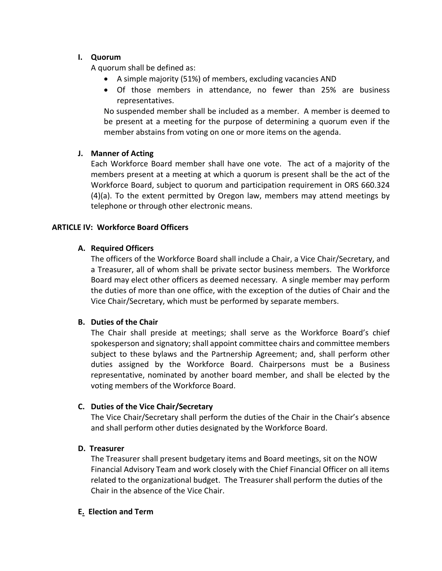# **I. Quorum**

A quorum shall be defined as:

- A simple majority (51%) of members, excluding vacancies AND
- Of those members in attendance, no fewer than 25% are business representatives.

No suspended member shall be included as a member. A member is deemed to be present at a meeting for the purpose of determining a quorum even if the member abstains from voting on one or more items on the agenda.

# **J. Manner of Acting**

Each Workforce Board member shall have one vote. The act of a majority of the members present at a meeting at which a quorum is present shall be the act of the Workforce Board, subject to quorum and participation requirement in ORS 660.324 (4)(a). To the extent permitted by Oregon law, members may attend meetings by telephone or through other electronic means.

# **ARTICLE IV: Workforce Board Officers**

# **A. Required Officers**

The officers of the Workforce Board shall include a Chair, a Vice Chair/Secretary, and a Treasurer, all of whom shall be private sector business members. The Workforce Board may elect other officers as deemed necessary. A single member may perform the duties of more than one office, with the exception of the duties of Chair and the Vice Chair/Secretary, which must be performed by separate members.

#### **B. Duties of the Chair**

The Chair shall preside at meetings; shall serve as the Workforce Board's chief spokesperson and signatory; shall appoint committee chairs and committee members subject to these bylaws and the Partnership Agreement; and, shall perform other duties assigned by the Workforce Board. Chairpersons must be a Business representative, nominated by another board member, and shall be elected by the voting members of the Workforce Board.

#### **C. Duties of the Vice Chair/Secretary**

The Vice Chair/Secretary shall perform the duties of the Chair in the Chair's absence and shall perform other duties designated by the Workforce Board.

# **D. Treasurer**

The Treasurer shall present budgetary items and Board meetings, sit on the NOW Financial Advisory Team and work closely with the Chief Financial Officer on all items related to the organizational budget. The Treasurer shall perform the duties of the Chair in the absence of the Vice Chair.

#### **E. Election and Term**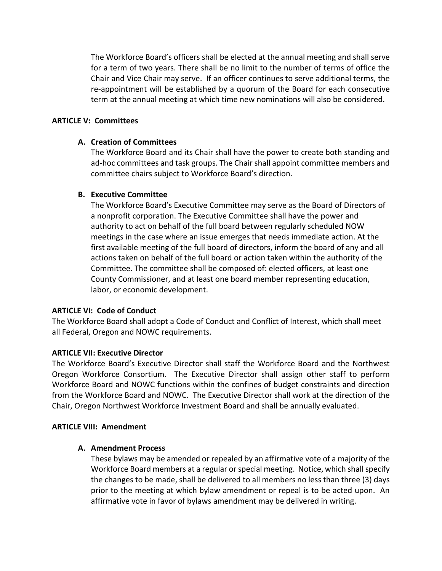The Workforce Board's officers shall be elected at the annual meeting and shall serve for a term of two years. There shall be no limit to the number of terms of office the Chair and Vice Chair may serve. If an officer continues to serve additional terms, the re-appointment will be established by a quorum of the Board for each consecutive term at the annual meeting at which time new nominations will also be considered.

# **ARTICLE V: Committees**

# **A. Creation of Committees**

The Workforce Board and its Chair shall have the power to create both standing and ad-hoc committees and task groups. The Chair shall appoint committee members and committee chairs subject to Workforce Board's direction.

# **B. Executive Committee**

The Workforce Board's Executive Committee may serve as the Board of Directors of a nonprofit corporation. The Executive Committee shall have the power and authority to act on behalf of the full board between regularly scheduled NOW meetings in the case where an issue emerges that needs immediate action. At the first available meeting of the full board of directors, inform the board of any and all actions taken on behalf of the full board or action taken within the authority of the Committee. The committee shall be composed of: elected officers, at least one County Commissioner, and at least one board member representing education, labor, or economic development.

#### **ARTICLE VI: Code of Conduct**

The Workforce Board shall adopt a Code of Conduct and Conflict of Interest, which shall meet all Federal, Oregon and NOWC requirements.

# **ARTICLE VII: Executive Director**

The Workforce Board's Executive Director shall staff the Workforce Board and the Northwest Oregon Workforce Consortium. The Executive Director shall assign other staff to perform Workforce Board and NOWC functions within the confines of budget constraints and direction from the Workforce Board and NOWC. The Executive Director shall work at the direction of the Chair, Oregon Northwest Workforce Investment Board and shall be annually evaluated.

#### **ARTICLE VIII: Amendment**

#### **A. Amendment Process**

These bylaws may be amended or repealed by an affirmative vote of a majority of the Workforce Board members at a regular or special meeting. Notice, which shall specify the changes to be made, shall be delivered to all members no less than three (3) days prior to the meeting at which bylaw amendment or repeal is to be acted upon. An affirmative vote in favor of bylaws amendment may be delivered in writing.